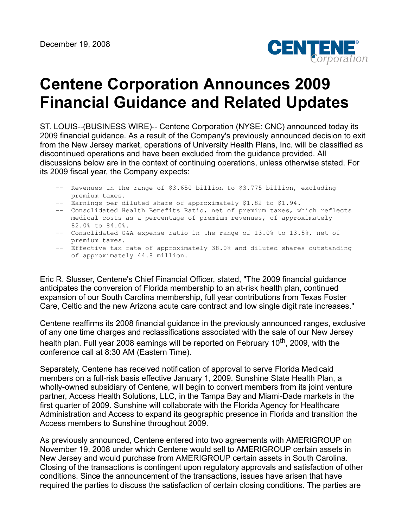

## **Centene Corporation Announces 2009 Financial Guidance and Related Updates**

ST. LOUIS--(BUSINESS WIRE)-- Centene Corporation (NYSE: CNC) announced today its 2009 financial guidance. As a result of the Company's previously announced decision to exit from the New Jersey market, operations of University Health Plans, Inc. will be classified as discontinued operations and have been excluded from the guidance provided. All discussions below are in the context of continuing operations, unless otherwise stated. For its 2009 fiscal year, the Company expects:

- -- Revenues in the range of \$3.650 billion to \$3.775 billion, excluding premium taxes.
- -- Earnings per diluted share of approximately \$1.82 to \$1.94.
- -- Consolidated Health Benefits Ratio, net of premium taxes, which reflects medical costs as a percentage of premium revenues, of approximately 82.0% to 84.0%.
- -- Consolidated G&A expense ratio in the range of 13.0% to 13.5%, net of premium taxes.
- -- Effective tax rate of approximately 38.0% and diluted shares outstanding of approximately 44.8 million.

Eric R. Slusser, Centene's Chief Financial Officer, stated, "The 2009 financial guidance anticipates the conversion of Florida membership to an at-risk health plan, continued expansion of our South Carolina membership, full year contributions from Texas Foster Care, Celtic and the new Arizona acute care contract and low single digit rate increases."

Centene reaffirms its 2008 financial guidance in the previously announced ranges, exclusive of any one time charges and reclassifications associated with the sale of our New Jersey health plan. Full year 2008 earnings will be reported on February 10<sup>th</sup>, 2009, with the conference call at 8:30 AM (Eastern Time).

Separately, Centene has received notification of approval to serve Florida Medicaid members on a full-risk basis effective January 1, 2009. Sunshine State Health Plan, a wholly-owned subsidiary of Centene, will begin to convert members from its joint venture partner, Access Health Solutions, LLC, in the Tampa Bay and Miami-Dade markets in the first quarter of 2009. Sunshine will collaborate with the Florida Agency for Healthcare Administration and Access to expand its geographic presence in Florida and transition the Access members to Sunshine throughout 2009.

As previously announced, Centene entered into two agreements with AMERIGROUP on November 19, 2008 under which Centene would sell to AMERIGROUP certain assets in New Jersey and would purchase from AMERIGROUP certain assets in South Carolina. Closing of the transactions is contingent upon regulatory approvals and satisfaction of other conditions. Since the announcement of the transactions, issues have arisen that have required the parties to discuss the satisfaction of certain closing conditions. The parties are